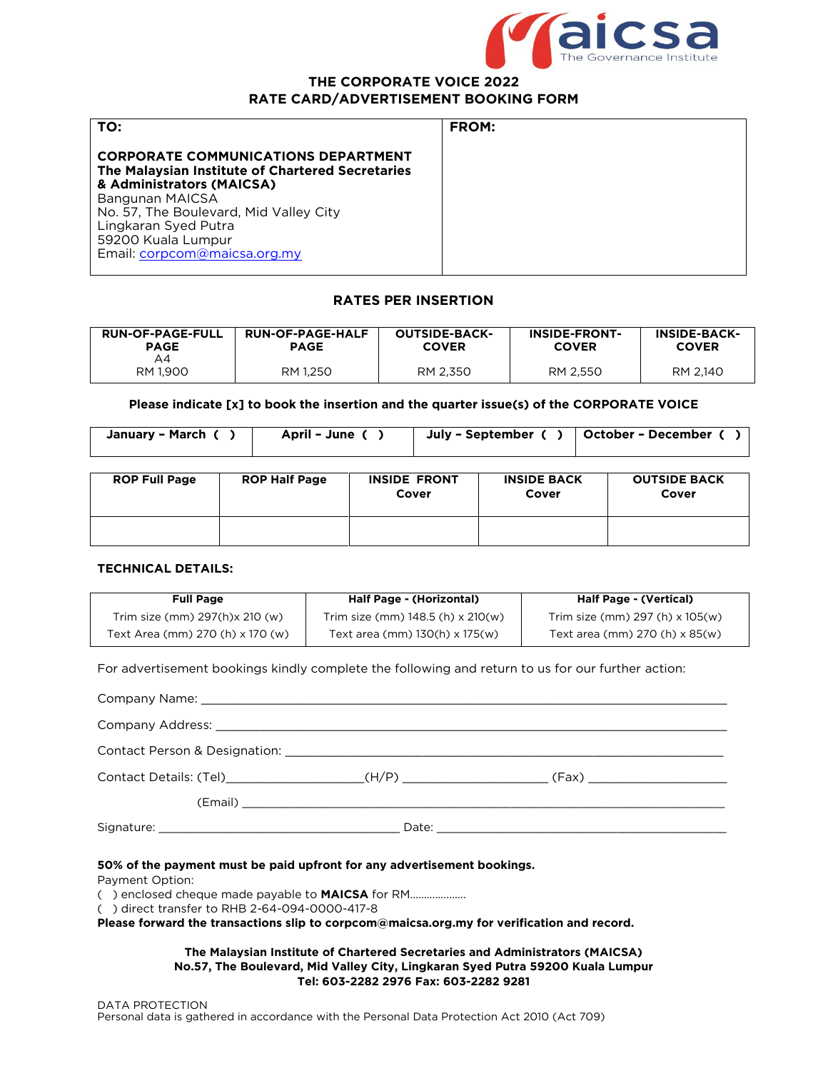

#### **THE CORPORATE VOICE 2022<br>RATE CARD/ADVERTISEMENT BOOKING FORM RATE CARD/ADVERTISEMENT BOOKING FORM**

| TO:                                                                                                                                                                                      | <b>FROM:</b> |
|------------------------------------------------------------------------------------------------------------------------------------------------------------------------------------------|--------------|
| <b>CORPORATE COMMUNICATIONS DEPARTMENT</b><br>The Malaysian Institute of Chartered Secretaries<br>& Administrators (MAICSA)<br>Bangunan MAICSA<br>No. 57, The Boulevard, Mid Valley City |              |
| Lingkaran Syed Putra<br>59200 Kuala Lumpur<br>Email: corpcom@maicsa.org.my                                                                                                               |              |

#### **RATES PER INSERTION RATES PER INSERTION**

| <b>RUN-OF-PAGE-FULL</b> | <b>RUN-OF-PAGE-HALF</b> | <b>OUTSIDE-BACK-</b> | <b>INSIDE-FRONT-</b> | <b>INSIDE-BACK-</b> |
|-------------------------|-------------------------|----------------------|----------------------|---------------------|
| <b>PAGE</b>             | <b>PAGE</b>             | <b>COVER</b>         | <b>COVER</b>         | <b>COVER</b>        |
| A4<br>RM 1.900          | RM 1.250                | RM 2,350             | RM 2.550             | RM 2.140            |

**Please indicate [x] to book the insertion and the quarter issue(s) of the CORPORATE VOICE**

| January - March | April - June | July – September | October – December |
|-----------------|--------------|------------------|--------------------|
|                 |              |                  |                    |

| <b>ROP Full Page</b> | <b>ROP Half Page</b> | <b>INSIDE FRONT</b><br>Cover | <b>INSIDE BACK</b><br>Cover | <b>OUTSIDE BACK</b><br>Cover |
|----------------------|----------------------|------------------------------|-----------------------------|------------------------------|
|                      |                      |                              |                             |                              |

#### **TECHNICAL DETAILS: TECHNICAL DETAILS:**

| <b>Full Page</b>                 | Half Page - (Horizontal)              | Half Page - (Vertical)                  |
|----------------------------------|---------------------------------------|-----------------------------------------|
| Trim size (mm) 297(h)x 210 (w)   | Trim size (mm) $148.5$ (h) x $210(w)$ | Trim size (mm) $297(h) \times 105(w)$   |
| Text Area (mm) 270 (h) x 170 (w) | Text area (mm) 130(h) x 175(w)        | Text area (mm) $270$ (h) $\times$ 85(w) |

For advertisement bookings kindly complete the following and return to us for our further action:

| Contact Details: (Tel)________________________(H/P) _______________________(Fax) ___________________ |  |  |
|------------------------------------------------------------------------------------------------------|--|--|
|                                                                                                      |  |  |
|                                                                                                      |  |  |

## **50% of the payment must be paid upfront for any advertisement bookings.**

() enclosed cheque made payable to **MAICSA** for RM.....................

() direct transfer to RHB 2-64-094-0000-417-8

 $\sum_{k=1}^{\infty}$  direction  $\sum_{k=1}^{\infty}$  directions of the corporations of  $\sum_{k=1}^{\infty}$ **Please forward the transactions slip to corpcom@maicsa.org.my for verification and record.** 

#### **The Malaysian Institute of Chartered Secretaries and Administrators (MAICSA) No.57, The Boulevard, Mid Valley City, Lingkaran Syed Putra 59200 Kuala Lumpur**